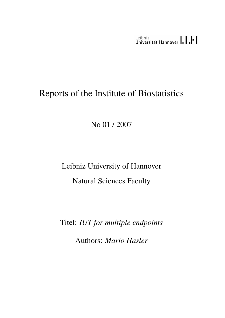# Reports of the Institute of Biostatistics

No 01 / 2007

Leibniz University of Hannover Natural Sciences Faculty

Titel: *IUT for multiple endpoints*

Authors: *Mario Hasler*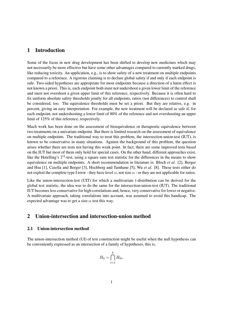# 1 Introduction

Some of the focus in new drug development has been shifted to develop new medicines which may not necessarily be more effective but have some other advantages compared to currently marked drugs, like reducing toxicity. An application, e.g., is to show safety of a new treatment on multiple endpoints compared to a reference. A rigorous claiming is to declare global safety if and only if each endpoint is safe. Two-sided hypotheses are appropriate for most endpoints because a direction of a harm effect is not known a priori. This is, each endpoint both must not undershoot a given lower limit of the reference and must not overshoot a given upper limit of this reference, respectively. Because it is often hard to fix uniform absolute safety thresholds jointly for all endpoints, ratios (not differences) to control shall be considered, too. The equivalence thresholds must be set a priori. But they are relative, e.g. in percent, giving an easy interpretation. For example, the new treatment will be declared as safe if, for each endpoint, not undershooting a lower limit of 80% of the reference and not overshooting an upper limit of 125% of this reference, respectively.

Much work has been done on the assessment of bioequivalence or therapeutic equivalence between two treatments on a univariate endpoint. But there is limited research on the assessment of equivalence on multiple endpoints. The traditional way to treat this problem, the intersection-union-test (IUT), is known to be conservative in many situations. Against the background of this problem, the question arises whether there are tests not having this weak point. In fact, there are some improved tests based on the IUT but most of them only hold for special cases. On the other hand, different approaches exist, like the Hotelling's  $T^2$ -test, using a square sum test statistic for the differences in the means to show equivalence on multiple endpoints. A short recommendation in literature is: Bloch *et al.* [2], Berger and Hsu [1], Casella and Berger [3], Hochberg and Tamhane [5], Wu *et al.* [8]. These tests either do not exploit the complete type I error - they have level  $\alpha$ , not size  $\alpha$  - or they are not applicable for ratios.

Like the union-intersection-test (UIT) for which a multivariate  $t$ -distribution can be derived for the global test statistic, the idea was to do the same for the intersection-union-test (IUT). The traditional IUT becomes less conservative for high correlations and, hence, very conservative for lower or negative. A multivariate approach, taking correlations into account, was assumed to avoid this handicap. The expected advantage was to get a size- $\alpha$  test this way.

# 2 Union-intersection and intersection-union method

### 2.1 Union-intersection method

The union-intersection method (UI) of test construction might be useful when the null hypothesis can be conveniently expressed as an intersection of a family of hypotheses, this is,

$$
H_0 = \bigcap_{i=1}^k H_{0i}.
$$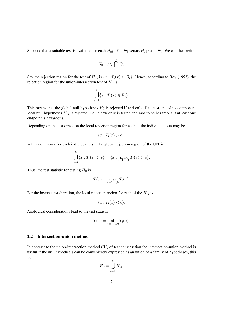Suppose that a suitable test is available for each  $H_{0i}$ :  $\theta \in \Theta_i$  versus  $H_{1i}$ :  $\theta \in \Theta_i^c$ . We can then write

$$
H_0: \theta \in \bigcap_{i=1}^k \Theta_i.
$$

Say the rejection region for the test of  $H_{0i}$  is  $\{x: T_i(x) \in R_i\}$ . Hence, according to Roy (1953), the rejection region for the union-intersection test of  $H_0$  is

$$
\bigcup_{i=1}^k \{x : T_i(x) \in R_i\}.
$$

This means that the global null hypothesis  $H_0$  is rejected if and only if at least one of its component local null hypotheses  $H_{0i}$  is rejected. I.e., a new drug is tested and said to be hazardous if at least one endpoint is hazardous.

Depending on the test direction the local rejection region for each of the individual tests may be

$$
\{x: T_i(x) > c\}.
$$

with a common  $c$  for each individual test. The global rejection region of the UIT is

$$
\bigcup_{i=1}^k \{x : T_i(x) > c\} = \{x : \max_{i=1,\dots,k} T_i(x) > c\}.
$$

Thus, the test statistic for testing  $H_0$  is

$$
T(x) = \max_{i=1,\dots,k} T_i(x).
$$

For the inverse test direction, the local rejection region for each of the  $H_{0i}$  is

$$
\{x: T_i(x) < c\}.
$$

Analogical considerations lead to the test statistic

$$
T(x) = \min_{i=1,\dots,k} T_i(x).
$$

#### 2.2 Intersection-union method

In contrast to the union-intersection method (IU) of test construction the intersection-union method is useful if the null hypothesis can be conveniently expressed as an union of a family of hypotheses, this is, k

$$
H_0 = \bigcup_{i=1}^{\kappa} H_{0i}.
$$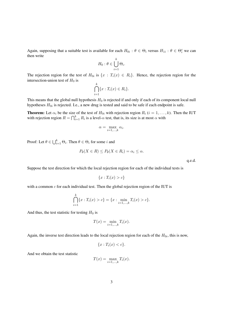Again, supposing that a suitable test is available for each  $H_{0i}$ :  $\theta \in \Theta_i$  versus  $H_{1i}$ :  $\theta \in \Theta_i^c$  we can then write

$$
H_0: \theta \in \bigcup_{i=1}^k \Theta_i.
$$

The rejection region for the test of  $H_{0i}$  is  $\{x : T_i(x) \in R_i\}$ . Hence, the rejection region for the intersection-union test of  $H_0$  is

$$
\bigcap_{i=1}^k \{x : T_i(x) \in R_i\}.
$$

This means that the global null hypothesis  $H_0$  is rejected if and only if each of its component local null hypotheses  $H_{0i}$  is rejected. I.e., a new drug is tested and said to be safe if each endpoint is safe.

**Theorem:** Let  $\alpha_i$  be the size of the test of  $H_{0i}$  with rejection region  $R_i$  ( $i = 1, \ldots, k$ ). Then the IUT with rejection region  $R = \bigcap_{i=1}^{k} R_i$  is a level- $\alpha$  test, that is, its size is at most  $\alpha$  with

$$
\alpha = \max_{i=1,\dots,k} \alpha_i.
$$

Proof: Let  $\theta \in \bigcup_{i=1}^k \Theta_i$ . Then  $\theta \in \Theta_i$  for some i and

$$
P_{\theta}(X \in R) \le P_{\theta}(X \in R_i) = \alpha_i \le \alpha.
$$

q.e.d.

Suppose the test direction for which the local rejection region for each of the individual tests is

 ${x : T_i(x) > c}$ 

with a common  $c$  for each individual test. Then the global rejection region of the IUT is

$$
\bigcap_{i=1}^k \{x : T_i(x) > c\} = \{x : \min_{i=1,\dots,k} T_i(x) > c\}.
$$

And thus, the test statistic for testing  $H_0$  is

$$
T(x) = \min_{i=1,\dots,k} T_i(x).
$$

Again, the inverse test direction leads to the local rejection region for each of the  $H_{0i}$ , this is now,

$$
\{x: T_i(x) < c\}.
$$

And we obtain the test statistic

$$
T(x) = \max_{i=1,\ldots,k} T_i(x).
$$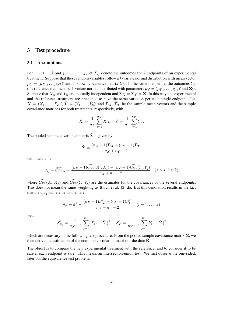## 3 Test procedure

#### 3.1 Assumptions

For  $i = 1, ..., k$  and  $j = 1, ..., n_X$ , let  $X_{ij}$  denote the outcomes for k endpoints of an experimental treatment. Suppose that these random variables follow a k-variate normal distribution with mean vector  $\mu_X = (\mu_{X1}, \dots \mu_{Xk})'$  and unknown covariance matrix  $\Sigma_X$ . In the same manner, let the outcomes  $Y_{ij}$ of a reference treatment be k-variate normal distributed with parameters  $\mu_Y = (\mu_{Y1}, \dots, \mu_{Yk})'$  and  $\Sigma_Y$ . Suppose that  $X_{ij}$  and  $Y_{ij}$  are mutually independent and  $\Sigma_X = \Sigma_Y = \Sigma$ . In this way, the experimental and the reference treatment are presumed to have the same variation per each single endpoint. Let  $\bar{X} = (\bar{X}_1, \ldots, \bar{X}_k)'$ ,  $\bar{Y} = (\bar{Y}_1, \ldots, \bar{Y}_k)'$  and  $\hat{\Sigma}_X$ ,  $\hat{\Sigma}_Y$  be the sample mean vectors and the sample covariance matrices for both treatments, respectively, with

$$
\bar{X}_i = \frac{1}{n_X} \sum_{j=1}^{n_X} X_{ij}, \quad \bar{Y}_i = \frac{1}{n_Y} \sum_{j=1}^{n_Y} Y_{ij}.
$$

The pooled sample covariance matrix  $\hat{\Sigma}$  is given by

$$
\hat{\Sigma} = \frac{(n_X - 1)\hat{\Sigma}_X + (n_Y - 1)\hat{\Sigma}_Y}{n_X + n_Y - 2}
$$

with the elements

$$
\hat{\sigma}_{ij} = \widehat{Cov}_{ij} = \frac{(n_X - 1)\widehat{Cov}(X_i, X_j) + (n_Y - 1)\widehat{Cov}(Y_i, Y_j)}{n_X + n_Y - 2} \quad (1 \le i, j \le k)
$$

where  $Cov(X_i, X_j)$  and  $Cov(Y_i, Y_j)$  are the estimates for the covariances of the several endpoints. This does not mean the same weighting as Bloch et al. [2] do. But this denotation results in the fact that the diagonal elements then are

$$
\hat{\sigma}_{ii} = \hat{\sigma}_i^2 = \frac{(n_X - 1)S_{X_i}^2 + (n_Y - 1)S_{Y_i}^2}{n_X + n_Y - 2} \quad (i = 1, \dots, k)
$$

with

$$
S_{X_i}^2 = \frac{1}{n_X - 1} \sum_{j=1}^{n_X} (X_{ij} - \bar{X}_i)^2, \quad S_{Y_i}^2 = \frac{1}{n_Y - 1} \sum_{j=1}^{n_Y} (Y_{ij} - \bar{Y}_i)^2
$$

which are necessary in the following test procedure. From the pooled sample covariance matrix  $\hat{\Sigma}$ , we then derive the estimation of the common correlation matrix of the data  $\hat{R}$ .

The object is to compare the new experimental treatment with the reference, and to consider it to be safe if each endpoint is safe. This means an intersection-union test. We first observe the one-sided, later on, the equivalence test problem.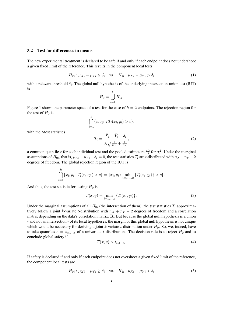#### 3.2 Test for differences in means

The new experimental treatment is declared to be safe if and only if each endpoint does not undershoot a given fixed limit of the reference. This results in the component local tests

$$
H_{0i}: \mu_{Xi} - \mu_{Yi} \le \delta_i \quad \text{vs.} \quad H_{1i}: \mu_{Xi} - \mu_{Yi} > \delta_i \tag{1}
$$

with a relevant threshold  $\delta_i$ . The global null hypothesis of the underlying intersection-union test (IUT) is

$$
H_0 = \bigcup_{i=1}^k H_{0i}.
$$

Figure 1 shows the parameter space of a test for the case of  $k = 2$  endpoints. The rejection region for the test of  $H_0$  is

$$
\bigcap_{i=1}^{k} \{x_i, y_i : T_i(x_i, y_i) > c\}.
$$

with the *t*-test statistics

$$
T_i = \frac{\bar{X}_i - \bar{Y}_i - \delta_i}{\hat{\sigma}_i \sqrt{\frac{1}{n_X} + \frac{1}{n_Y}}},\tag{2}
$$

a common quantile c for each individual test and the pooled estimators  $\hat{\sigma}_i^2$  for  $\sigma_i^2$ . Under the marginal assumptions of  $H_{0i}$ , that is,  $\mu_{Xi} - \mu_{Yi} - \delta_i = 0$ , the test statistics  $T_i$  are *t*-distributed with  $n_X + n_Y - 2$ degrees of freedom. The global rejection region of the IUT is

$$
\bigcap_{i=1}^k \{x_i, y_i : T_i(x_i, y_i) > c\} = \{x_i, y_i : \min_{i=1,\dots,k} \{T_i(x_i, y_i)\} > c\}.
$$

And thus, the test statistic for testing  $H_0$  is

 $\mathbf{r}$ 

$$
T(x,y) = \min_{i=1,\dots,k} \{T_i(x_i, y_i)\}.
$$
 (3)

Under the marginal assumptions of all  $H_{0i}$  (the intersection of them), the test statistics  $T_i$  approximatively follow a joint k-variate t-distribution with  $n_X + n_Y - 2$  degrees of freedom and a correlation matrix depending on the data's correlation matrix, R. But because the global null hypothesis is a union - and not an intersection - of its local hypotheses, the margin of this global null hypothesis is not unique which would be necessary for deriving a joint  $k$ -variate  $t$ -distribution under  $H_0$ . So, we, indeed, have to take quantiles  $c = t_{\nu,1-\alpha}$  of a univariate t-distribution. The decision rule is to reject  $H_0$  and to conclude global safety if

$$
T(x,y) > t_{\nu,1-\alpha}.\tag{4}
$$

If safety is declared if and only if each endpoint does not overshoot a given fixed limit of the reference, the component local tests are

$$
H_{0i}: \mu_{Xi} - \mu_{Yi} \ge \delta_i \quad \text{vs.} \quad H_{1i}: \mu_{Xi} - \mu_{Yi} < \delta_i \tag{5}
$$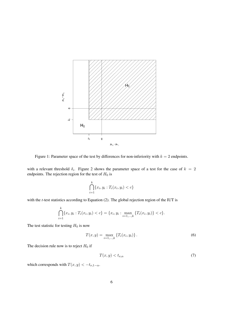

Figure 1: Parameter space of the test by differences for non-inferiority with  $k = 2$  endpoints.

with a relevant threshold  $\delta_i$ . Figure 2 shows the parameter space of a test for the case of  $k = 2$ endpoints. The rejection region for the test of  $H_0$  is

$$
\bigcap_{i=1}^k \{x_i, y_i : T_i(x_i, y_i) < c\}
$$

with the *t*-test statistics according to Equation (2). The global rejection region of the IUT is

$$
\bigcap_{i=1}^k \{x_i, y_i : T_i(x_i, y_i) < c\} = \{x_i, y_i : \max_{i=1,\dots,k} \{T_i(x_i, y_i)\} < c\}.
$$

The test statistic for testing  $H_0$  is now

$$
T(x,y) = \max_{i=1,\dots,k} \{T_i(x_i, y_i)\}.
$$
 (6)

The decision rule now is to reject  $H_0$  if

$$
T(x,y) < t_{\nu,\alpha} \tag{7}
$$

which corresponds with  $T(x, y) < -t_{\nu, 1-\alpha}$ .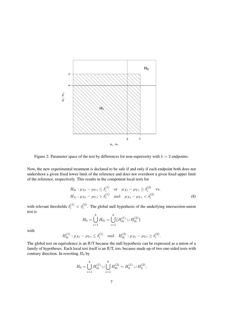

Figure 2: Parameter space of the test by differences for non-superiority with  $k = 2$  endpoints.

Now, the new experimental treatment is declared to be safe if and only if each endpoint both does not undershoot a given fixed lower limit of the reference and does not overshoot a given fixed upper limit of the reference, respectively. This results in the component local tests for

$$
H_{0i}: \mu_{Xi} - \mu_{Yi} \le \delta_i^{(1)} \quad \text{or} \quad \mu_{Xi} - \mu_{Yi} \ge \delta_i^{(2)} \quad \text{vs.}
$$
  
\n
$$
H_{1i}: \mu_{Xi} - \mu_{Yi} > \delta_i^{(1)} \quad \text{and} \quad \mu_{Xi} - \mu_{Yi} < \delta_i^{(2)}
$$
(8)

with relevant thresholds  $\delta_i^{(1)} < \delta_i^{(2)}$ . The global null hypothesis of the underlying intersection-union test is

$$
H_0 = \bigcup_{i=1}^k H_{0i} = \bigcup_{i=1}^k \{H_{0i}^{(1)} \cup H_{0i}^{(2)}\}
$$

with

$$
H_{0i}^{(1)}: \mu_{Xi} - \mu_{Yi} \le \delta_i^{(1)}
$$
 and  $H_{0i}^{(2)}: \mu_{Xi} - \mu_{Yi} \ge \delta_i^{(2)}$ .

The global test on equivalence is an IUT because the null hypothesis can be expressed as a union of a family of hypotheses. Each local test itself is an IUT, too, because made up of two one-sided tests with contrary direction. In rewriting  $H_0$  by

$$
H_0 = \bigcup_{i=1}^k H_{0i}^{(1)} \cup \bigcup_{i=1}^k H_{0i}^{(2)} = H_0^{(1)} \cup H_0^{(2)},
$$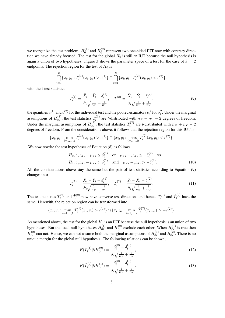we reorganize the test problem.  $H_0^{(1)}$  $_{0}^{(1)}$  and  $H_{0}^{(2)}$  $n_0^{(2)}$  represent two one-sided IUT now with contrary direction we have already focused. The test for the global  $H_0$  is still an IUT because the null hypothesis is again a union of two hypotheses. Figure 3 shows the parameter space of a test for the case of  $k = 2$ endpoints. The rejection region for the test of  $H_0$  is

$$
\bigcap_{i=1}^k \{x_i, y_i : T_i^{(1)}(x_i, y_i) > c^{(1)}\} \cap \bigcap_{i=1}^k \{x_i, y_i : T_i^{(2)}(x_i, y_i) < c^{(2)}\}.
$$

with the *t*-test statistics

$$
T_i^{(1)} = \frac{\bar{X}_i - \bar{Y}_i - \delta_i^{(1)}}{\hat{\sigma}_i \sqrt{\frac{1}{n_X} + \frac{1}{n_Y}}}, \quad T_i^{(2)} = \frac{\bar{X}_i - \bar{Y}_i - \delta_i^{(2)}}{\hat{\sigma}_i \sqrt{\frac{1}{n_X} + \frac{1}{n_Y}}},\tag{9}
$$

the quantiles  $c^{(1)}$  and  $c^{(2)}$  for the individual test and the pooled estimators  $\hat{\sigma}_i^2$  for  $\sigma_i^2$ . Under the marginal assumptions of  $H_{0i}^{(1)}$  $T_{0i}^{(1)}$ , the test statistics  $T_i^{(1)}$  $i^{(1)}$  are *t*-distributed with  $n_X + n_Y - 2$  degrees of freedom. Under the marginal assumptions of  $H_{0i}^{(2)}$  $T_0^{(2)}$ , the test statistics  $T_i^{(2)}$  $i^{(2)}$  are *t*-distributed with  $n_X + n_Y - 2$ degrees of freedom. From the considerations above, it follows that the rejection region for this IUT is

$$
\{x_i, y_i : \min_{i=1,\dots,k} T_i^{(1)}(x_i, y_i) > c^{(1)}\} \cap \{x_i, y_i : \max_{i=1,\dots,k} T_i^{(2)}(x_i, y_i) < c^{(2)}\}.
$$

We now rewrite the test hypotheses of Equation (8) as follows,

$$
H_{0i}: \mu_{Xi} - \mu_{Yi} \le \delta_i^{(1)} \quad \text{or} \quad \mu_{Yi} - \mu_{Xi} \le -\delta_i^{(2)} \quad \text{vs.}
$$
  
\n
$$
H_{1i}: \mu_{Xi} - \mu_{Yi} > \delta_i^{(1)} \quad \text{and} \quad \mu_{Yi} - \mu_{Xi} > -\delta_i^{(2)}.
$$
 (10)

All the considerations above stay the same but the pair of test statistics according to Equation (9) changes into

$$
T_i^{(1)} = \frac{\bar{X}_i - \bar{Y}_i - \delta_i^{(1)}}{\hat{\sigma}_i \sqrt{\frac{1}{n_X} + \frac{1}{n_Y}}}, \quad \tilde{T}_i^{(2)} = \frac{\bar{Y}_i - \bar{X}_i + \delta_i^{(2)}}{\hat{\sigma}_i \sqrt{\frac{1}{n_X} + \frac{1}{n_Y}}},\tag{11}
$$

The test statistics  $T_i^{(2)}$  $\tilde{T}_i^{(2)}$  and  $\tilde{T}_i^{(2)}$  $\hat{h}_i^{(2)}$  now have converse test directions and hence,  $T_i^{(1)}$  $\tilde{T}_i^{(1)}$  and  $\tilde{T}_i^{(2)}$  $i^{(2)}$  have the same. Herewith, the rejection region can be transformed into

$$
\{x_i, y_i : \min_{i=1,\dots,k} T_i^{(1)}(x_i, y_i) > c^{(1)}\} \cap \{x_i, y_i : \min_{i=1,\dots,k} \tilde{T}_i^{(2)}(x_i, y_i) > -c^{(2)}\}.
$$

As mentioned above, the test for the global  $H_0$  is an IUT because the null hypothesis is an union of two hypotheses. But the local null hypotheses  $H_{0i}^{(1)}$  $_{0i}^{(1)}$  and  $H_{0i}^{(2)}$  $\chi_{0i}^{(2)}$  exclude each other. When  $H_{0i}^{(1)}$  $\frac{0i}{0i}$  is true then  $H_{0i}^{(2)}$  $\frac{1}{0i}$  can not. Hence, we can not assume both the marginal assumptions of  $H_{0i}^{(1)}$  $U_{0i}^{(1)}$  and  $H_{0i}^{(2)}$  $\binom{2}{0i}$ . There is no unique margin for the global null hypothesis. The following relations can be shown,

$$
E(T_i^{(1)}|\partial H_{0i}^{(2)}) = \frac{\delta_i^{(2)} - \delta_i^{(1)}}{\sigma_i \sqrt{\frac{1}{n_X} + \frac{1}{n_Y}}},\tag{12}
$$

$$
E(\tilde{T}_i^{(2)}|\partial H_{0i}^{(1)}) = \frac{\delta_i^{(2)} - \delta_i^{(1)}}{\sigma_i \sqrt{\frac{1}{n_X} + \frac{1}{n_Y}}}.
$$
\n(13)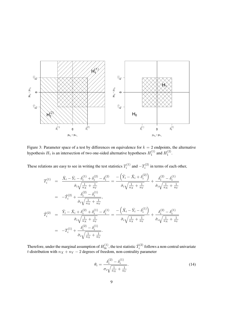

Figure 3: Parameter space of a test by differences on equivalence for  $k = 2$  endpoints, the alternative hypothesis  $H_1$  is an intersection of two one-sided alternative hypotheses  $H_1^{(1)}$  $_1^{(1)}$  and  $H_1^{(2)}$  $\frac{1}{1}$ .

These relations are easy to see in writing the test statistics  $T_i^{(1)}$  $T_i^{(1)}$  and  $-T_i^{(2)}$  $i^{(2)}$  in terms of each other,

$$
T_i^{(1)} = \frac{\bar{X}_i - \bar{Y}_i - \delta_i^{(1)} + \delta_i^{(2)} - \delta_i^{(2)}}{\hat{\sigma}_i \sqrt{\frac{1}{n_X} + \frac{1}{n_Y}}} = \frac{-\left(\bar{Y}_i - \bar{X}_i + \delta_i^{(2)}\right)}{\hat{\sigma}_i \sqrt{\frac{1}{n_X} + \frac{1}{n_Y}}} + \frac{\delta_i^{(2)} - \delta_i^{(1)}}{\hat{\sigma}_i \sqrt{\frac{1}{n_X} + \frac{1}{n_Y}}}
$$
\n
$$
= -\tilde{T}_i^{(2)} + \frac{\delta_i^{(2)} - \delta_i^{(1)}}{\hat{\sigma}_i \sqrt{\frac{1}{n_X} + \frac{1}{n_Y}}},
$$
\n
$$
\tilde{T}_i^{(2)} = \frac{\bar{Y}_i - \bar{X}_i + \delta_i^{(2)} + \delta_i^{(1)} - \delta_i^{(1)}}{\hat{\sigma}_i \sqrt{\frac{1}{n_X} + \frac{1}{n_Y}}} = \frac{-\left(\bar{X}_i - \bar{Y}_i - \delta_i^{(1)}\right)}{\hat{\sigma}_i \sqrt{\frac{1}{n_X} + \frac{1}{n_Y}}} + \frac{\delta_i^{(2)} - \delta_i^{(1)}}{\hat{\sigma}_i \sqrt{\frac{1}{n_X} + \frac{1}{n_Y}}}.
$$
\n
$$
= -T_i^{(1)} + \frac{\delta_i^{(2)} - \delta_i^{(1)}}{\hat{\sigma}_i \sqrt{\frac{1}{n_X} + \frac{1}{n_Y}}}.
$$

Therefore, under the marginal assumption of  $H_{0i}^{(1)}$  $\tilde{T}_{0i}^{(1)}$ , the test statistic  $\tilde{T}_i^{(2)}$  $i^{(2)}$  follows a non-central univariate t-distribution with  $n_X + n_Y - 2$  degrees of freedom, non-centrality parameter

$$
\theta_i = \frac{\delta_i^{(2)} - \delta_i^{(1)}}{\sigma_i \sqrt{\frac{1}{n_X} + \frac{1}{n_Y}}}.
$$
\n(14)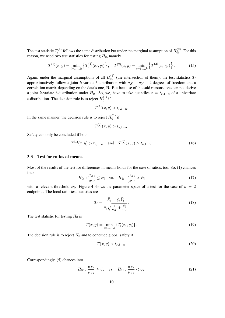The test statistic  $T_i^{(1)}$  $i^{(1)}$  follows the same distribution but under the marginal assumption of  $H_{0i}^{(2)}$  $\int_{0i}^{(2)}$ . For this reason, we need two test statistics for testing  $H_0$ , namely

$$
T^{(1)}(x,y) = \min_{i=1,\dots,k} \left\{ T_i^{(1)}(x_i, y_i) \right\}, \quad T^{(2)}(x,y) = \min_{i=1,\dots,k} \left\{ \tilde{T}_i^{(2)}(x_i, y_i) \right\}.
$$
 (15)

Again, under the marginal assumptions of all  $H_{0i}^{(1)}$  $_{0i}^{(1)}$  (the intersection of them), the test statistics  $T_i$ approximatively follow a joint k-variate t-distribution with  $n_X + n_Y - 2$  degrees of freedom and a correlation matrix depending on the data's one, R. But because of the said reasons, one can not derive a joint k-variate t-distribution under H<sub>0</sub>. So, we, have to take quantiles  $c = t_{\nu,1-\alpha}$  of a univariate *t*-distribution. The decision rule is to reject  $H_0^{(1)}$  $\int_{0}^{(1)}$  if

$$
T^{(1)}(x,y) > t_{\nu,1-\alpha}.
$$

In the same manner, the decision rule is to reject  $H_0^{(2)}$  $\int_{0}^{(2)}$  if

$$
T^{(2)}(x,y) > t_{\nu,1-\alpha}.
$$

Safety can only be concluded if both

$$
T^{(1)}(x,y) > t_{\nu,1-\alpha} \quad \text{and} \quad T^{(2)}(x,y) > t_{\nu,1-\alpha}.\tag{16}
$$

#### 3.3 Test for ratios of means

Most of the results of the test for differences in means holds for the case of ratios, too. So, (1) chances into

$$
H_{0i}: \frac{\mu_{Xi}}{\mu_{Yi}} \le \psi_i \quad \text{vs.} \quad H_{1i}: \frac{\mu_{Xi}}{\mu_{Yi}} > \psi_i \tag{17}
$$

with a relevant threshold  $\psi_i$ . Figure 4 shows the parameter space of a test for the case of  $k = 2$ endpoints. The local ratio-test statistics are

$$
T_i = \frac{\bar{X}_i - \psi_i \bar{Y}_i}{\hat{\sigma}_i \sqrt{\frac{1}{n_X} + \frac{\psi_i^2}{n_Y}}}.
$$
\n(18)

The test statistic for testing  $H_0$  is

$$
T(x, y) = \min_{i=1,\dots,k} \{T_i(x_i, y_i)\}.
$$
 (19)

The decision rule is to reject  $H_0$  and to conclude global safety if

$$
T(x,y) > t_{\nu,1-\alpha}.\tag{20}
$$

Correspondingly, (5) chances into

$$
H_{0i}: \frac{\mu_{Xi}}{\mu_{Yi}} \ge \psi_i \quad \text{vs.} \quad H_{1i}: \frac{\mu_{Xi}}{\mu_{Yi}} < \psi_i. \tag{21}
$$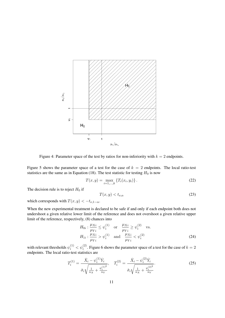

Figure 4: Parameter space of the test by ratios for non-inferiority with  $k = 2$  endpoints.

Figure 5 shows the parameter space of a test for the case of  $k = 2$  endpoints. The local ratio-test statistics are the same as in Equation (18). The test statistic for testing  $H_0$  is now

$$
T(x,y) = \max_{i=1,\dots,k} \{T_i(x_i, y_i)\}.
$$
 (22)

The decision rule is to reject  $H_0$  if

$$
T(x,y) < t_{\nu,\alpha} \tag{23}
$$

which corresponds with  $T(x, y) < -t_{\nu, 1-\alpha}$ .

When the new experimental treatment is declared to be safe if and only if each endpoint both does not undershoot a given relative lower limit of the reference and does not overshoot a given relative upper limit of the reference, respectively, (8) chances into

$$
H_{0i}: \frac{\mu_{Xi}}{\mu_{Yi}} \le \psi_i^{(1)} \quad \text{or} \quad \frac{\mu_{Xi}}{\mu_{Yi}} \ge \psi_i^{(2)} \quad \text{vs.}
$$
  

$$
H_{1i}: \frac{\mu_{Xi}}{\mu_{Yi}} > \psi_i^{(1)} \quad \text{and} \quad \frac{\mu_{Xi}}{\mu_{Yi}} < \psi_i^{(2)}
$$
(24)

with relevant thresholds  $\psi_i^{(1)} < \psi_i^{(2)}$ . Figure 6 shows the parameter space of a test for the case of  $k = 2$ endpoints. The local ratio-test statistics are

$$
T_i^{(1)} = \frac{\bar{X}_i - \psi_i^{(1)} \bar{Y}_i}{\hat{\sigma}_i \sqrt{\frac{1}{n_X} + \frac{\psi_i^{(1)^2}}{n_Y}}}, \quad T_i^{(2)} = \frac{\bar{X}_i - \psi_i^{(2)} \bar{Y}_i}{\hat{\sigma}_i \sqrt{\frac{1}{n_X} + \frac{\psi_i^{(2)^2}}{n_Y}}}. \tag{25}
$$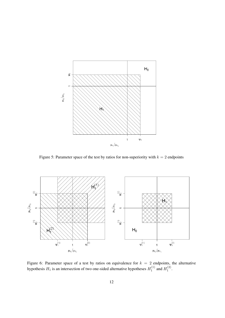

Figure 5: Parameter space of the test by ratios for non-superiority with  $k = 2$  endpoints



Figure 6: Parameter space of a test by ratios on equivalence for  $k = 2$  endpoints, the alternative hypothesis  $H_1$  is an intersection of two one-sided alternative hypotheses  $H_1^{(1)}$  $_1^{(1)}$  and  $H_1^{(2)}$  $\frac{1}{1}$ .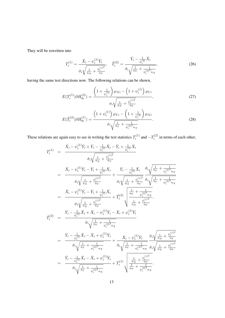They will be rewritten into

$$
T_i^{(1)} = \frac{\bar{X}_i - \psi_i^{(1)} \bar{Y}_i}{\hat{\sigma}_i \sqrt{\frac{1}{n_X} + \frac{\psi_i^{(1)^2}}{n_Y}}}, \quad \tilde{T}_i^{(2)} = \frac{\bar{Y}_i - \frac{1}{\psi_i^{(2)}} \bar{X}_i}{\hat{\sigma}_i \sqrt{\frac{1}{n_Y} + \frac{1}{\psi_i^{(2)^2} n_X}}},
$$
(26)

having the same test directions now. The following relations can be shown,

$$
E(T_i^{(1)}|\partial H_{0i}^{(2)}) = \frac{\left(1 + \frac{1}{\psi_i^{(2)}}\right)\mu_{Xi} - \left(1 + \psi_i^{(1)}\right)\mu_{Yi}}{\sigma_i\sqrt{\frac{1}{n_X} + \frac{\psi_i^{(1)^2}}{n_Y}}},\tag{27}
$$
\n
$$
E(\tilde{T}_i^{(2)}|\partial H_{0i}^{(1)}) = \frac{\left(1 + \psi_i^{(1)}\right)\mu_{Yi} - \left(1 + \frac{1}{\psi_i^{(2)}}\right)\mu_{Xi}}{\sigma_i\sqrt{\frac{1}{n_Y} + \frac{1}{\psi_i^{(2)^2}n_X}}}.
$$

These relations are again easy to see in writing the test statistics  $T_i^{(1)}$  $T_i^{(1)}$  and  $-T_i^{(2)}$  $i^{(2)}$  in terms of each other,

$$
T_{i}^{(1)} = \frac{\bar{X}_{i} - \psi_{i}^{(1)}\bar{Y}_{i} + \bar{Y}_{i} - \frac{1}{\psi_{i}^{(2)}}\bar{X}_{i} - \bar{Y}_{i} + \frac{1}{\psi_{i}^{(2)}}\bar{X}_{i}}{\hat{\sigma}_{i}\sqrt{\frac{1}{n_{X}} + \frac{\psi_{i}^{(1)}^{2}}{n_{Y}}}} \\
= \frac{\bar{X}_{i} - \psi_{i}^{(1)}\bar{Y}_{i} - \bar{Y}_{i} + \frac{1}{\psi_{i}^{(2)}}\bar{X}_{i}}{\hat{\sigma}_{i}\sqrt{\frac{1}{n_{X}} + \frac{\psi_{i}^{(1)}^{2}}{n_{Y}}}} + \frac{\bar{Y}_{i} - \frac{1}{\psi_{i}^{(2)}}\bar{X}_{i}}{\hat{\sigma}_{i}\sqrt{\frac{1}{n_{X}} + \frac{\psi_{i}^{(1)}^{2}}{n_{Y}}}} \frac{\hat{\sigma}_{i}\sqrt{\frac{1}{n_{Y}} + \frac{1}{\psi_{i}^{(2)}^{2}n_{X}}}}{\hat{\sigma}_{i}\sqrt{\frac{1}{n_{X}} + \frac{\psi_{i}^{(1)}^{2}}{n_{Y}}}} \frac{\hat{\sigma}_{i}\sqrt{\frac{1}{n_{Y}} + \frac{\psi_{i}^{(1)}^{2}}{n_{Y}}}}{\hat{\sigma}_{i}\sqrt{\frac{1}{n_{X}} + \frac{\psi_{i}^{(1)}^{2}}{n_{Y}}}}, \\
\hat{T}_{i}^{(2)} = \frac{\bar{Y}_{i} - \frac{1}{\psi_{i}^{(2)}}\bar{X}_{i} + \bar{X}_{i} - \psi_{i}^{(1)}\bar{Y}_{i} - \bar{X}_{i} + \psi_{i}^{(1)}\bar{Y}_{i}}{\frac{1}{n_{X}} + \frac{\psi_{i}^{(1)}^{2}}{n_{Y}}}, \\
\hat{T}_{i}^{(2)} = \frac{\bar{Y}_{i} - \frac{1}{\psi_{i}^{(2)}}\bar{X}_{i} + \bar{X}_{i} - \psi_{i}^{(1)}\bar{Y}_{i} - \bar{X}_{i} + \psi_{i}^{(1)}\bar{Y}_{i}}{\hat{\sigma}_{i}\sqrt{\frac{1}{n_{X}} + \frac{\psi_{i}^{(1)}^{2}}{n_{Y}}}} \\
= \frac{\bar{Y}_{i} - \frac{1}{\psi_{i}^{(2)}}\bar{X}_{i} - \bar{X}_{i} + \psi_{i}^{
$$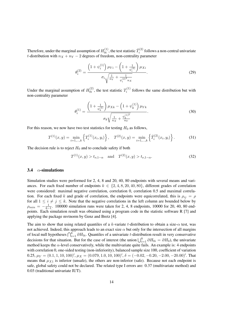Therefore, under the marginal assumption of  $H_{0i}^{(1)}$  $\tilde{T}_{0i}^{(1)}$ , the test statistic  $\tilde{T}_i^{(2)}$  $i^{(2)}$  follows a non-central univariate t-distribution with  $n_X + n_Y - 2$  degrees of freedom, non-centrality parameter

$$
\theta_i^{(2)} = \frac{\left(1 + \psi_i^{(1)}\right)\mu_{Yi} - \left(1 + \frac{1}{\psi_i^{(2)}}\right)\mu_{Xi}}{\sigma_i\sqrt{\frac{1}{n_Y} + \frac{1}{\psi_i^{(2)}}^2 n_X}}.
$$
\n(29)

Under the marginal assumption of  $H_{0i}^{(2)}$  $T_{0i}^{(2)}$ , the test statistic  $T_i^{(1)}$  $i^{(1)}$  follows the same distribution but with non-centrality parameter

$$
\theta_i^{(1)} = \frac{\left(1 + \frac{1}{\psi_k^{(2)}}\right) \mu_{Xk} - \left(1 + \psi_k^{(1)}\right) \mu_{Yk}}{\sigma_k \sqrt{\frac{1}{n_X} + \frac{\psi_k^{(1)^2}}{n_Y}}}.
$$
\n(30)

For this reason, we now have two test statistics for testing  $H_0$  as follows,

$$
T^{(1)}(x,y) = \min_{i=1,\dots,k} \left\{ T_i^{(1)}(x_i, y_i) \right\}, \quad T^{(2)}(x,y) = \min_{i=1,\dots,k} \left\{ \tilde{T}_i^{(2)}(x_i, y_i) \right\}.
$$
 (31)

The decision rule is to reject  $H_0$  and to conclude safety if both

$$
T^{(1)}(x,y) > t_{\nu,1-\alpha} \quad \text{and} \quad T^{(2)}(x,y) > t_{\nu,1-\alpha}.\tag{32}
$$

#### 3.4  $\alpha$ -simulations

Simulation studies were performed for 2, 4, 8 and 20, 40, 80 endpoints with several means and variances. For each fixed number of endpoints  $k \in \{2, 4, 8, 20, 40, 80\}$ , different grades of correlation were considered: maximal negative correlation, correlation 0, correlation 0.5 and maximal correlation. For each fixed k and grade of correlation, the endpoints were equicorrelated, this is  $\rho_{ij} = \rho$ for all  $1 \leq i \neq j \leq k$ . Note that the negative correlations in the left column are bounded below by  $\rho_{min} = -\frac{1}{k-1}$ . 100000 simulation runs were taken for 2, 4, 8 endpoints, 10000 for 20, 40, 80 endpoints. Each simulation result was obtained using a program code in the statistic software R [7] and applying the package mvtnorm by Genz and Bretz [4].

The aim to show that using related quantiles of a k-variate t-distribution to obtain a size- $\alpha$  test, was not achieved. Indeed, this approach leads to an exact size  $\alpha$  but only for the intersection of all margins of local null hypotheses  $\bigcap_{i=1}^k \partial H_{0i}$ . Quantiles of a univariate t-distribution result in very conservative decisions for that situation. But for the case of interest (the union  $\bigcup_{i=1}^{k} \partial H_{0i} = \partial H_0$ ), the univariate method keeps the  $\alpha$ -level conservatively, while the multivariate quite fails. An example is: 4 endpoints with correlation 0, one-sided testing (non-inferiority), balanced sample size 100, coefficient of variation 0.25,  $\mu_Y = (0.1, 1, 10, 100)'$ ,  $\mu_X = (0.079, 1.0, 10, 100)'$ ,  $\delta = (-0.02, -0.20, -2.00, -20.00)'$ . That means that  $\mu_{X1}$  is inferior (unsafe), the others are non-inferior (safe). Because not each endpoint is safe, global safety could not be declared. The related type I errors are: 0.37 (multivariate method) and 0.03 (traditional univariate IUT).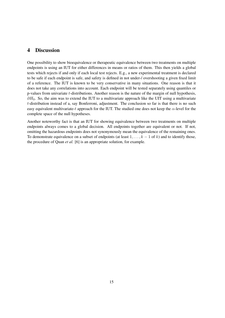## 4 Discussion

One possibility to show bioequivalence or therapeutic equivalence between two treatments on multiple endpoints is using an IUT for either differences in means or ratios of them. This then yields a global tests which rejects if and only if each local test rejects. E.g., a new experimental treatment is declared to be safe if each endpoint is safe, and safety is defined in not under-/ overshooting a given fixed limit of a reference. The IUT is known to be very conservative in many situations. One reason is that it does not take any correlations into account. Each endpoint will be tested separately using quantiles or p-values from univariate  $t$ -distributions. Another reason is the nature of the margin of null hypothesis,  $\partial H_0$ . So, the aim was to extend the IUT to a multivariate approach like the UIT using a multivariate t-distribution instead of a, say Bonferroni, adjustment. The conclusion so far is that there is no such easy equivalent multivariate-t approach for the IUT. The studied one does not keep the  $\alpha$ -level for the complete space of the null hypotheses.

Another noteworthy fact is that an IUT for showing equivalence between two treatments on multiple endpoints always comes to a global decision. All endpoints together are equivalent or not. If not, omitting the hazardous endpoints does not synonymously mean the equivalence of the remaining ones. To demonstrate equivalence on a subset of endpoints (at least  $1, \ldots, k - 1$  of k) and to identify those, the procedure of Quan *et al.* [6] is an appropriate solution, for example.